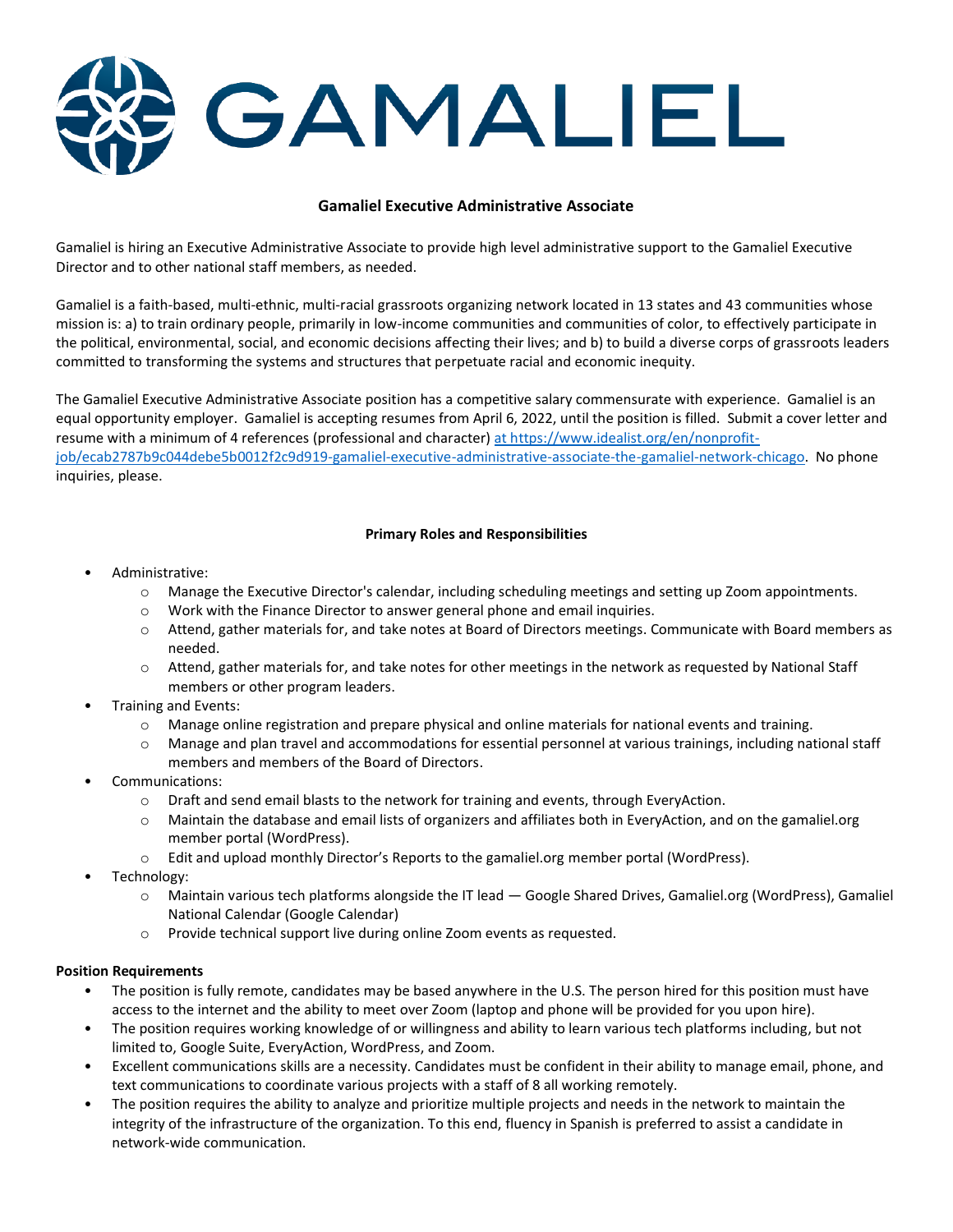GAMALIEL

## **Gamaliel Executive Administrative Associate**

Gamaliel is hiring an Executive Administrative Associate to provide high level administrative support to the Gamaliel Executive Director and to other national staff members, as needed.

Gamaliel is a faith-based, multi-ethnic, multi-racial grassroots organizing network located in 13 states and 43 communities whose mission is: a) to train ordinary people, primarily in low-income communities and communities of color, to effectively participate in the political, environmental, social, and economic decisions affecting their lives; and b) to build a diverse corps of grassroots leaders committed to transforming the systems and structures that perpetuate racial and economic inequity.

The Gamaliel Executive Administrative Associate position has a competitive salary commensurate with experience. Gamaliel is an equal opportunity employer. Gamaliel is accepting resumes from April 6, 2022, until the position is filled. Submit a cover letter and resume with a minimum of 4 references (professional and character[\) at https://www.idealist.org/en/nonprofit](https://www.idealist.org/en/nonprofit-job/ecab2787b9c044debe5b0012f2c9d919-gamaliel-executive-administrative-associate-the-gamaliel-network-chicago)[job/ecab2787b9c044debe5b0012f2c9d919-gamaliel-executive-administrative-associate-the-gamaliel-network-chicago.](https://www.idealist.org/en/nonprofit-job/ecab2787b9c044debe5b0012f2c9d919-gamaliel-executive-administrative-associate-the-gamaliel-network-chicago) No phone inquiries, please.

## **Primary Roles and Responsibilities**

- Administrative:
	- o Manage the Executive Director's calendar, including scheduling meetings and setting up Zoom appointments.
	- o Work with the Finance Director to answer general phone and email inquiries.
	- o Attend, gather materials for, and take notes at Board of Directors meetings. Communicate with Board members as needed.
	- o Attend, gather materials for, and take notes for other meetings in the network as requested by National Staff members or other program leaders.
- Training and Events:
	- o Manage online registration and prepare physical and online materials for national events and training.
	- o Manage and plan travel and accommodations for essential personnel at various trainings, including national staff members and members of the Board of Directors.
- Communications:
	- $\circ$  Draft and send email blasts to the network for training and events, through EveryAction.
	- o Maintain the database and email lists of organizers and affiliates both in EveryAction, and on the gamaliel.org member portal (WordPress).
	- $\circ$  Edit and upload monthly Director's Reports to the gamaliel.org member portal (WordPress).
- Technology:
	- o Maintain various tech platforms alongside the IT lead Google Shared Drives, Gamaliel.org (WordPress), Gamaliel National Calendar (Google Calendar)
	- o Provide technical support live during online Zoom events as requested.

## **Position Requirements**

- The position is fully remote, candidates may be based anywhere in the U.S. The person hired for this position must have access to the internet and the ability to meet over Zoom (laptop and phone will be provided for you upon hire).
- The position requires working knowledge of or willingness and ability to learn various tech platforms including, but not limited to, Google Suite, EveryAction, WordPress, and Zoom.
- Excellent communications skills are a necessity. Candidates must be confident in their ability to manage email, phone, and text communications to coordinate various projects with a staff of 8 all working remotely.
- The position requires the ability to analyze and prioritize multiple projects and needs in the network to maintain the integrity of the infrastructure of the organization. To this end, fluency in Spanish is preferred to assist a candidate in network-wide communication.